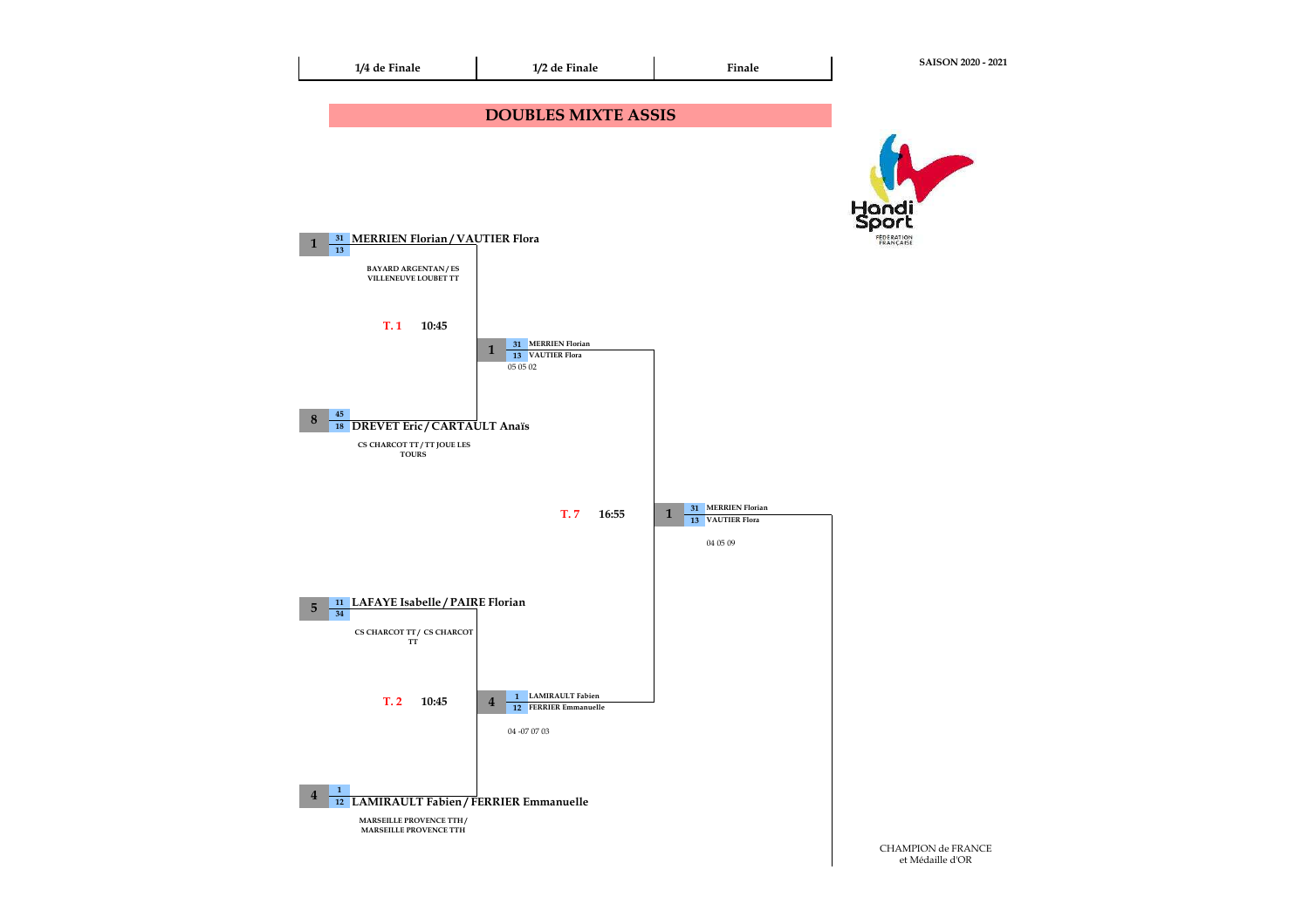